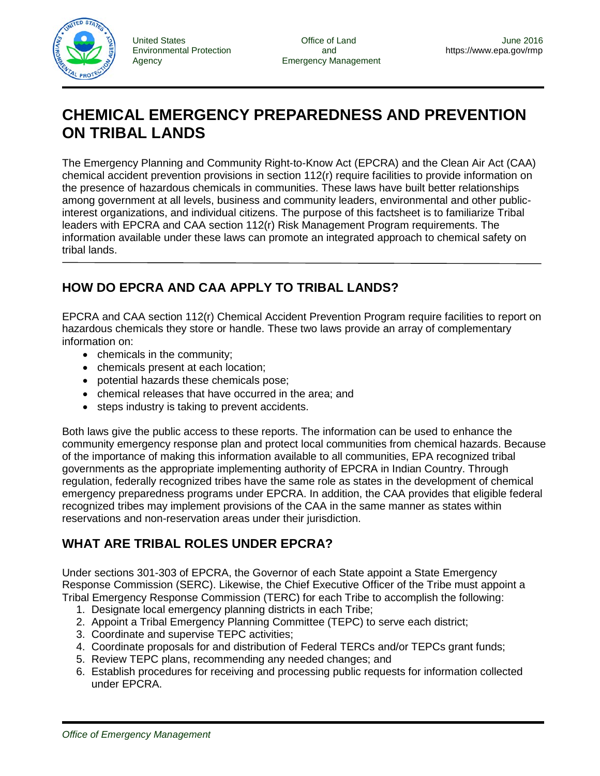

Environmental Protection and <https://www.epa.gov/rmp>

# **CHEMICAL EMERGENCY PREPAREDNESS AND PREVENTION ON TRIBAL LANDS**

The Emergency Planning and Community Right-to-Know Act (EPCRA) and the Clean Air Act (CAA) chemical accident prevention provisions in section 112(r) require facilities to provide information on the presence of hazardous chemicals in communities. These laws have built better relationships among government at all levels, business and community leaders, environmental and other publicinterest organizations, and individual citizens. The purpose of this factsheet is to familiarize Tribal leaders with EPCRA and CAA section 112(r) Risk Management Program requirements. The information available under these laws can promote an integrated approach to chemical safety on tribal lands.

# **HOW DO EPCRA AND CAA APPLY TO TRIBAL LANDS?**

EPCRA and CAA section 112(r) Chemical Accident Prevention Program require facilities to report on hazardous chemicals they store or handle. These two laws provide an array of complementary information on:

- chemicals in the community;
- chemicals present at each location;
- potential hazards these chemicals pose;
- chemical releases that have occurred in the area; and
- steps industry is taking to prevent accidents.

Both laws give the public access to these reports. The information can be used to enhance the community emergency response plan and protect local communities from chemical hazards. Because of the importance of making this information available to all communities, EPA recognized tribal governments as the appropriate implementing authority of EPCRA in Indian Country. Through regulation, federally recognized tribes have the same role as states in the development of chemical emergency preparedness programs under EPCRA. In addition, the CAA provides that eligible federal recognized tribes may implement provisions of the CAA in the same manner as states within reservations and non-reservation areas under their jurisdiction.

# **WHAT ARE TRIBAL ROLES UNDER EPCRA?**

Under sections 301-303 of EPCRA, the Governor of each State appoint a State Emergency Response Commission (SERC). Likewise, the Chief Executive Officer of the Tribe must appoint a Tribal Emergency Response Commission (TERC) for each Tribe to accomplish the following:

- 1. Designate local emergency planning districts in each Tribe;
- 2. Appoint a Tribal Emergency Planning Committee (TEPC) to serve each district;
- 3. Coordinate and supervise TEPC activities;
- 4. Coordinate proposals for and distribution of Federal TERCs and/or TEPCs grant funds;
- 5. Review TEPC plans, recommending any needed changes; and
- 6. Establish procedures for receiving and processing public requests for information collected under EPCRA.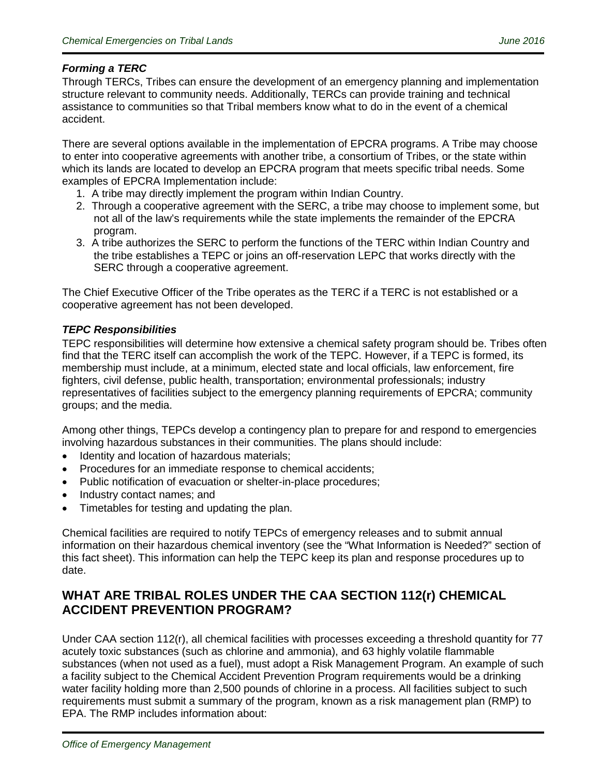#### *Forming a TERC*

Through TERCs, Tribes can ensure the development of an emergency planning and implementation structure relevant to community needs. Additionally, TERCs can provide training and technical assistance to communities so that Tribal members know what to do in the event of a chemical accident.

There are several options available in the implementation of EPCRA programs. A Tribe may choose to enter into cooperative agreements with another tribe, a consortium of Tribes, or the state within which its lands are located to develop an EPCRA program that meets specific tribal needs. Some examples of EPCRA Implementation include:

- 1. A tribe may directly implement the program within Indian Country.
- 2. Through a cooperative agreement with the SERC, a tribe may choose to implement some, but not all of the law's requirements while the state implements the remainder of the EPCRA program.
- 3. A tribe authorizes the SERC to perform the functions of the TERC within Indian Country and the tribe establishes a TEPC or joins an off-reservation LEPC that works directly with the SERC through a cooperative agreement.

The Chief Executive Officer of the Tribe operates as the TERC if a TERC is not established or a cooperative agreement has not been developed.

#### *TEPC Responsibilities*

TEPC responsibilities will determine how extensive a chemical safety program should be. Tribes often find that the TERC itself can accomplish the work of the TEPC. However, if a TEPC is formed, its membership must include, at a minimum, elected state and local officials, law enforcement, fire fighters, civil defense, public health, transportation; environmental professionals; industry representatives of facilities subject to the emergency planning requirements of EPCRA; community groups; and the media.

Among other things, TEPCs develop a contingency plan to prepare for and respond to emergencies involving hazardous substances in their communities. The plans should include:

- Identity and location of hazardous materials;
- Procedures for an immediate response to chemical accidents;
- Public notification of evacuation or shelter-in-place procedures;
- Industry contact names; and
- Timetables for testing and updating the plan.

Chemical facilities are required to notify TEPCs of emergency releases and to submit annual information on their hazardous chemical inventory (see the "What Information is Needed?" section of this fact sheet). This information can help the TEPC keep its plan and response procedures up to date.

### **WHAT ARE TRIBAL ROLES UNDER THE CAA SECTION 112(r) CHEMICAL ACCIDENT PREVENTION PROGRAM?**

Under CAA section 112(r), all chemical facilities with processes exceeding a threshold quantity for 77 acutely toxic substances (such as chlorine and ammonia), and 63 highly volatile flammable substances (when not used as a fuel), must adopt a Risk Management Program. An example of such a facility subject to the Chemical Accident Prevention Program requirements would be a drinking water facility holding more than 2,500 pounds of chlorine in a process. All facilities subject to such requirements must submit a summary of the program, known as a risk management plan (RMP) to EPA. The RMP includes information about: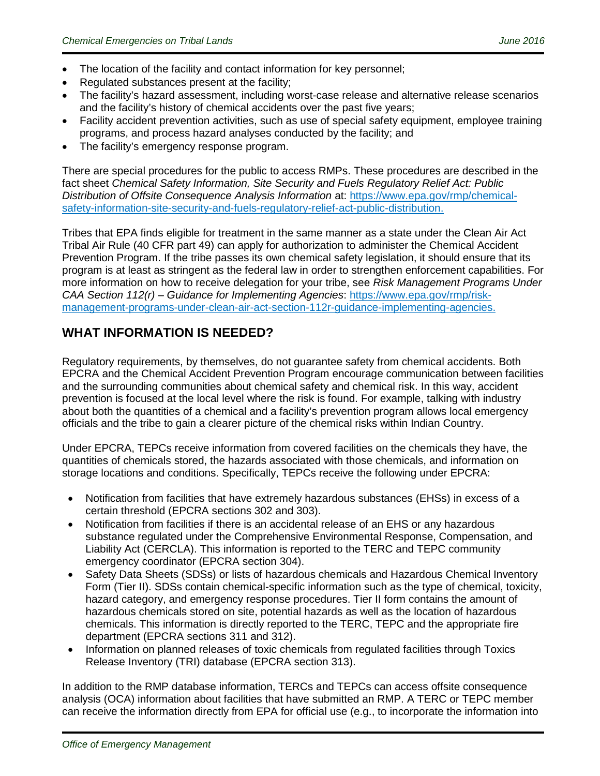- The location of the facility and contact information for key personnel;
- Regulated substances present at the facility:
- The facility's hazard assessment, including worst-case release and alternative release scenarios and the facility's history of chemical accidents over the past five years;
- Facility accident prevention activities, such as use of special safety equipment, employee training programs, and process hazard analyses conducted by the facility; and
- The facility's emergency response program.

There are special procedures for the public to access RMPs. These procedures are described in the fact sheet *Chemical Safety Information, Site Security and Fuels Regulatory Relief Act: Public Distribution of Offsite Consequence Analysis Information* at: [https://www.epa.gov/rmp/chemical](https://www.epa.gov/rmp/chemical-safety-information-site-security-and-fuels-regulatory-relief-act-public-distribution)[safety-information-site-security-and-fuels-regulatory-relief-act-public-distribution.](https://www.epa.gov/rmp/chemical-safety-information-site-security-and-fuels-regulatory-relief-act-public-distribution)

Tribes that EPA finds eligible for treatment in the same manner as a state under the Clean Air Act Tribal Air Rule (40 CFR part 49) can apply for authorization to administer the Chemical Accident Prevention Program. If the tribe passes its own chemical safety legislation, it should ensure that its program is at least as stringent as the federal law in order to strengthen enforcement capabilities. For more information on how to receive delegation for your tribe, see *Risk Management Programs Under CAA Section 112(r) – Guidance for Implementing Agencies*: [https://www.epa.gov/rmp/risk](https://www.epa.gov/rmp/risk-management-programs-under-clean-air-act-section-112r-guidance-implementing-agencies)[management-programs-under-clean-air-act-section-112r-guidance-implementing-agencies.](https://www.epa.gov/rmp/risk-management-programs-under-clean-air-act-section-112r-guidance-implementing-agencies)

# **WHAT INFORMATION IS NEEDED?**

Regulatory requirements, by themselves, do not guarantee safety from chemical accidents. Both EPCRA and the Chemical Accident Prevention Program encourage communication between facilities and the surrounding communities about chemical safety and chemical risk. In this way, accident prevention is focused at the local level where the risk is found. For example, talking with industry about both the quantities of a chemical and a facility's prevention program allows local emergency officials and the tribe to gain a clearer picture of the chemical risks within Indian Country.

Under EPCRA, TEPCs receive information from covered facilities on the chemicals they have, the quantities of chemicals stored, the hazards associated with those chemicals, and information on storage locations and conditions. Specifically, TEPCs receive the following under EPCRA:

- Notification from facilities that have extremely hazardous substances (EHSs) in excess of a certain threshold (EPCRA sections 302 and 303).
- Notification from facilities if there is an accidental release of an EHS or any hazardous substance regulated under the Comprehensive Environmental Response, Compensation, and Liability Act (CERCLA). This information is reported to the TERC and TEPC community emergency coordinator (EPCRA section 304).
- Safety Data Sheets (SDSs) or lists of hazardous chemicals and Hazardous Chemical Inventory Form (Tier II). SDSs contain chemical-specific information such as the type of chemical, toxicity, hazard category, and emergency response procedures. Tier II form contains the amount of hazardous chemicals stored on site, potential hazards as well as the location of hazardous chemicals. This information is directly reported to the TERC, TEPC and the appropriate fire department (EPCRA sections 311 and 312).
- Information on planned releases of toxic chemicals from regulated facilities through Toxics Release Inventory (TRI) database (EPCRA section 313).

In addition to the RMP database information, TERCs and TEPCs can access offsite consequence analysis (OCA) information about facilities that have submitted an RMP. A TERC or TEPC member can receive the information directly from EPA for official use (e.g., to incorporate the information into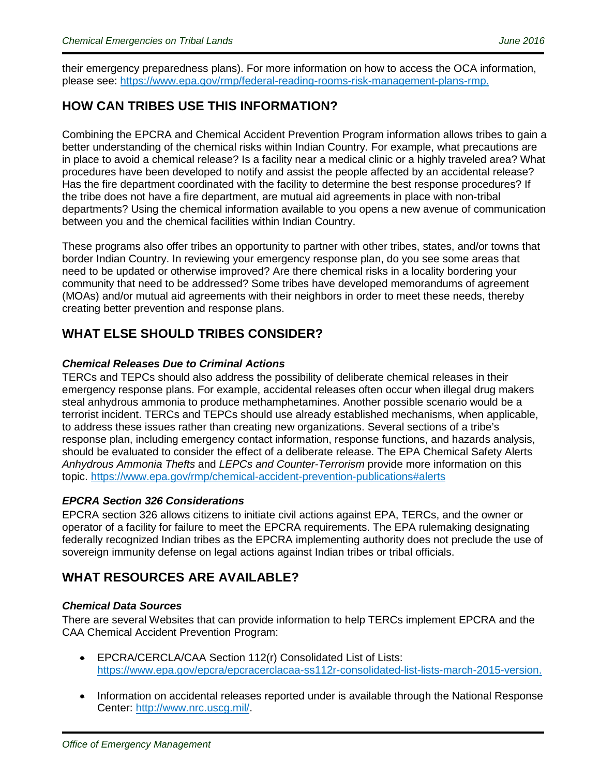their emergency preparedness plans). For more information on how to access the OCA information, please see: [https://www.epa.gov/rmp/federal-reading-rooms-risk-management-plans-rmp.](https://www.epa.gov/rmp/federal-reading-rooms-risk-management-plans-rmp)

# **HOW CAN TRIBES USE THIS INFORMATION?**

Combining the EPCRA and Chemical Accident Prevention Program information allows tribes to gain a better understanding of the chemical risks within Indian Country. For example, what precautions are in place to avoid a chemical release? Is a facility near a medical clinic or a highly traveled area? What procedures have been developed to notify and assist the people affected by an accidental release? Has the fire department coordinated with the facility to determine the best response procedures? If the tribe does not have a fire department, are mutual aid agreements in place with non-tribal departments? Using the chemical information available to you opens a new avenue of communication between you and the chemical facilities within Indian Country.

These programs also offer tribes an opportunity to partner with other tribes, states, and/or towns that border Indian Country. In reviewing your emergency response plan, do you see some areas that need to be updated or otherwise improved? Are there chemical risks in a locality bordering your community that need to be addressed? Some tribes have developed memorandums of agreement (MOAs) and/or mutual aid agreements with their neighbors in order to meet these needs, thereby creating better prevention and response plans.

# **WHAT ELSE SHOULD TRIBES CONSIDER?**

#### *Chemical Releases Due to Criminal Actions*

TERCs and TEPCs should also address the possibility of deliberate chemical releases in their emergency response plans. For example, accidental releases often occur when illegal drug makers steal anhydrous ammonia to produce methamphetamines. Another possible scenario would be a terrorist incident. TERCs and TEPCs should use already established mechanisms, when applicable, to address these issues rather than creating new organizations. Several sections of a tribe's response plan, including emergency contact information, response functions, and hazards analysis, should be evaluated to consider the effect of a deliberate release. The EPA Chemical Safety Alerts *Anhydrous Ammonia Thefts* and *LEPCs and Counter-Terrorism* provide more information on this topic. [https://www.epa.gov/rmp/chemical-accident-prevention-publications#alerts](https://www.epa.gov/rmp/chemical-accident-prevention-publications%23alerts)

#### *EPCRA Section 326 Considerations*

EPCRA section 326 allows citizens to initiate civil actions against EPA, TERCs, and the owner or operator of a facility for failure to meet the EPCRA requirements. The EPA rulemaking designating federally recognized Indian tribes as the EPCRA implementing authority does not preclude the use of sovereign immunity defense on legal actions against Indian tribes or tribal officials.

# **WHAT RESOURCES ARE AVAILABLE?**

#### *Chemical Data Sources*

There are several Websites that can provide information to help TERCs implement EPCRA and the CAA Chemical Accident Prevention Program:

- EPCRA/CERCLA/CAA Section 112(r) Consolidated List of Lists: [https://www.epa.gov/epcra/epcracerclacaa-ss112r-consolidated-list-lists-march-2015-version.](https://www.epa.gov/epcra/epcracerclacaa-ss112r-consolidated-list-lists-march-2015-version)
- Information on accidental releases reported under is available through the National Response Center: [http://www.nrc.uscg.mil/.](http://www.nrc.uscg.mil/)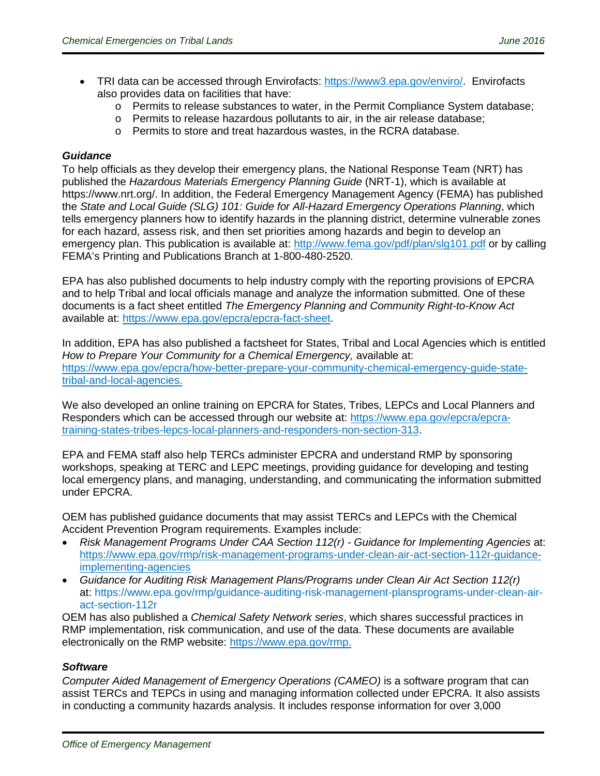- TRI data can be accessed through Envirofacts: [https://www3.epa.gov/enviro/.](https://www3.epa.gov/enviro/) Envirofacts also provides data on facilities that have:
	- o Permits to release substances to water, in the Permit Compliance System database;
	- o Permits to release hazardous pollutants to air, in the air release database;
	- o Permits to store and treat hazardous wastes, in the RCRA database.

#### *Guidance*

To help officials as they develop their emergency plans, the National Response Team (NRT) has published the *Hazardous Materials Emergency Planning Guide* (NRT-1), which is available at [https://www.nrt.org/.](https://www.nrt.org/) In addition, the Federal Emergency Management Agency (FEMA) has published the *State and Local Guide (SLG) 101: Guide for All-Hazard Emergency Operations Planning*, which tells emergency planners how to identify hazards in the planning district, determine vulnerable zones for each hazard, assess risk, and then set priorities among hazards and begin to develop an emergency plan. This publication is available at:<http://www.fema.gov/pdf/plan/slg101.pdf> or by calling FEMA's Printing and Publications Branch at 1-800-480-2520.

EPA has also published documents to help industry comply with the reporting provisions of EPCRA and to help Tribal and local officials manage and analyze the information submitted. One of these documents is a fact sheet entitled *The Emergency Planning and Community Right-to-Know Act*  available at: https://www.epa.gov/epcra/epcra-fact-sheet.

In addition, EPA has also published a factsheet for States, Tribal and Local Agencies which is entitled How to Prepare Your Community for a Chemical Emergency, available at: [https://www.epa.gov/epcra/how-better-prepare-your-community-chemical-emergency-guide-state](https://www.epa.gov/epcra/how-better-prepare-your-community-chemical-emergency-guide-state-tribal-and-local-agencies)[tribal-and-local-agencies.](https://www.epa.gov/epcra/how-better-prepare-your-community-chemical-emergency-guide-state-tribal-and-local-agencies)

We also developed an online training on EPCRA for States, Tribes, LEPCs and Local Planners and Responders which can be accessed through our website at: [https://www.epa.gov/epcra/epcra](https://www.epa.gov/epcra/epcra-training-states-tribes-lepcs-local-planners-and-responders-non-section-313)[training-states-tribes-lepcs-local-planners-and-responders-non-section-313.](https://www.epa.gov/epcra/epcra-training-states-tribes-lepcs-local-planners-and-responders-non-section-313)

EPA and FEMA staff also help TERCs administer EPCRA and understand RMP by sponsoring workshops, speaking at TERC and LEPC meetings, providing guidance for developing and testing local emergency plans, and managing, understanding, and communicating the information submitted under EPCRA.

OEM has published guidance documents that may assist TERCs and LEPCs with the Chemical Accident Prevention Program requirements. Examples include:

- *Risk Management Programs Under CAA Section 112(r) Guidance for Implementing Agencies* at: [https://www.epa.gov/rmp/risk-management-programs-under-clean-air-act-section-112r-guidance](https://www.epa.gov/rmp/risk-management-programs-under-clean-air-act-section-112r-guidance-implementing-agencies)[implementing-agencies](https://www.epa.gov/rmp/risk-management-programs-under-clean-air-act-section-112r-guidance-implementing-agencies)
- *Guidance for Auditing Risk Management Plans/Programs under Clean Air Act Section 112(r)*  at: [https://www.epa.gov/rmp/guidance-auditing-risk-management-plansprograms-under-clean-air](https://www.epa.gov/rmp/guidance-auditing-risk-management-plansprograms-under-clean-air-act-section-112r)[act-section-112r](https://www.epa.gov/rmp/guidance-auditing-risk-management-plansprograms-under-clean-air-act-section-112r)

OEM has also published a *Chemical Safety Network series*, which shares successful practices in RMP implementation, risk communication, and use of the data. These documents are available electronically on the RMP website: [https://www.epa.gov/rmp.](https://www.epa.gov/rmp)

#### *Software*

*Computer Aided Management of Emergency Operations (CAMEO)* is a software program that can assist TERCs and TEPCs in using and managing information collected under EPCRA. It also assists in conducting a community hazards analysis. It includes response information for over 3,000